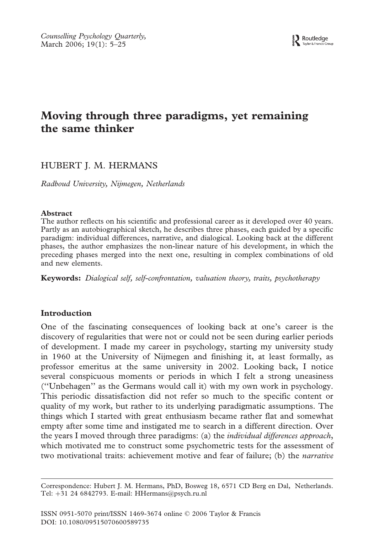# Moving through three paradigms, yet remaining the same thinker

# HUBERT J. M. HERMANS

Radboud University, Nijmegen, Netherlands

#### **Abstract**

The author reflects on his scientific and professional career as it developed over 40 years. Partly as an autobiographical sketch, he describes three phases, each guided by a specific paradigm: individual differences, narrative, and dialogical. Looking back at the different phases, the author emphasizes the non-linear nature of his development, in which the preceding phases merged into the next one, resulting in complex combinations of old and new elements.

Keywords: Dialogical self, self-confrontation, valuation theory, traits, psychotherapy

#### Introduction

One of the fascinating consequences of looking back at one's career is the discovery of regularities that were not or could not be seen during earlier periods of development. I made my career in psychology, starting my university study in 1960 at the University of Nijmegen and finishing it, at least formally, as professor emeritus at the same university in 2002. Looking back, I notice several conspicuous moments or periods in which I felt a strong uneasiness (''Unbehagen'' as the Germans would call it) with my own work in psychology. This periodic dissatisfaction did not refer so much to the specific content or quality of my work, but rather to its underlying paradigmatic assumptions. The things which I started with great enthusiasm became rather flat and somewhat empty after some time and instigated me to search in a different direction. Over the years I moved through three paradigms: (a) the individual differences approach, which motivated me to construct some psychometric tests for the assessment of two motivational traits: achievement motive and fear of failure; (b) the *narrative* 

Correspondence: Hubert J. M. Hermans, PhD, Bosweg 18, 6571 CD Berg en Dal, Netherlands. Tel: þ31 24 6842793. E-mail: HHermans@psych.ru.nl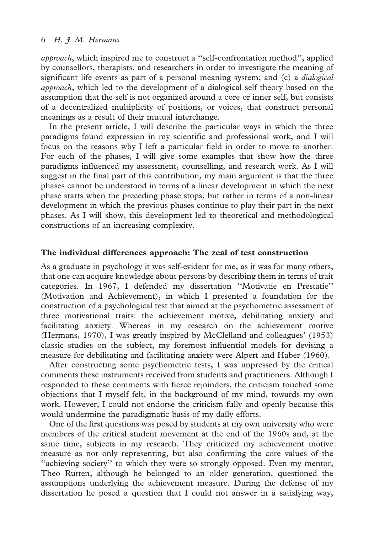approach, which inspired me to construct a "self-confrontation method", applied by counsellors, therapists, and researchers in order to investigate the meaning of significant life events as part of a personal meaning system; and (c) a *dialogical* approach, which led to the development of a dialogical self theory based on the assumption that the self is not organized around a core or inner self, but consists of a decentralized multiplicity of positions, or voices, that construct personal meanings as a result of their mutual interchange.

In the present article, I will describe the particular ways in which the three paradigms found expression in my scientific and professional work, and I will focus on the reasons why I left a particular field in order to move to another. For each of the phases, I will give some examples that show how the three paradigms influenced my assessment, counselling, and research work. As I will suggest in the final part of this contribution, my main argument is that the three phases cannot be understood in terms of a linear development in which the next phase starts when the preceding phase stops, but rather in terms of a non-linear development in which the previous phases continue to play their part in the next phases. As I will show, this development led to theoretical and methodological constructions of an increasing complexity.

#### The individual differences approach: The zeal of test construction

As a graduate in psychology it was self-evident for me, as it was for many others, that one can acquire knowledge about persons by describing them in terms of trait categories. In 1967, I defended my dissertation ''Motivatie en Prestatie'' (Motivation and Achievement), in which I presented a foundation for the construction of a psychological test that aimed at the psychometric assessment of three motivational traits: the achievement motive, debilitating anxiety and facilitating anxiety. Whereas in my research on the achievement motive (Hermans, 1970), I was greatly inspired by McClelland and colleagues' (1953) classic studies on the subject, my foremost influential models for devising a measure for debilitating and facilitating anxiety were Alpert and Haber (1960).

After constructing some psychometric tests, I was impressed by the critical comments these instruments received from students and practitioners. Although I responded to these comments with fierce rejoinders, the criticism touched some objections that I myself felt, in the background of my mind, towards my own work. However, I could not endorse the criticism fully and openly because this would undermine the paradigmatic basis of my daily efforts.

One of the first questions was posed by students at my own university who were members of the critical student movement at the end of the 1960s and, at the same time, subjects in my research. They criticized my achievement motive measure as not only representing, but also confirming the core values of the ''achieving society'' to which they were so strongly opposed. Even my mentor, Theo Rutten, although he belonged to an older generation, questioned the assumptions underlying the achievement measure. During the defense of my dissertation he posed a question that I could not answer in a satisfying way,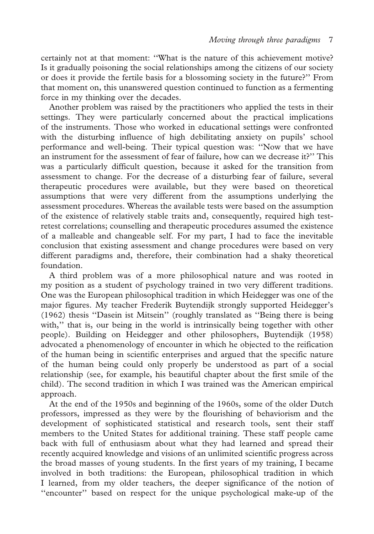certainly not at that moment: ''What is the nature of this achievement motive? Is it gradually poisoning the social relationships among the citizens of our society or does it provide the fertile basis for a blossoming society in the future?'' From that moment on, this unanswered question continued to function as a fermenting force in my thinking over the decades.

Another problem was raised by the practitioners who applied the tests in their settings. They were particularly concerned about the practical implications of the instruments. Those who worked in educational settings were confronted with the disturbing influence of high debilitating anxiety on pupils' school performance and well-being. Their typical question was: ''Now that we have an instrument for the assessment of fear of failure, how can we decrease it?'' This was a particularly difficult question, because it asked for the transition from assessment to change. For the decrease of a disturbing fear of failure, several therapeutic procedures were available, but they were based on theoretical assumptions that were very different from the assumptions underlying the assessment procedures. Whereas the available tests were based on the assumption of the existence of relatively stable traits and, consequently, required high testretest correlations; counselling and therapeutic procedures assumed the existence of a malleable and changeable self. For my part, I had to face the inevitable conclusion that existing assessment and change procedures were based on very different paradigms and, therefore, their combination had a shaky theoretical foundation.

A third problem was of a more philosophical nature and was rooted in my position as a student of psychology trained in two very different traditions. One was the European philosophical tradition in which Heidegger was one of the major figures. My teacher Frederik Buytendijk strongly supported Heidegger's (1962) thesis ''Dasein ist Mitsein'' (roughly translated as ''Being there is being with," that is, our being in the world is intrinsically being together with other people). Building on Heidegger and other philosophers, Buytendijk (1958) advocated a phenomenology of encounter in which he objected to the reification of the human being in scientific enterprises and argued that the specific nature of the human being could only properly be understood as part of a social relationship (see, for example, his beautiful chapter about the first smile of the child). The second tradition in which I was trained was the American empirical approach.

At the end of the 1950s and beginning of the 1960s, some of the older Dutch professors, impressed as they were by the flourishing of behaviorism and the development of sophisticated statistical and research tools, sent their staff members to the United States for additional training. These staff people came back with full of enthusiasm about what they had learned and spread their recently acquired knowledge and visions of an unlimited scientific progress across the broad masses of young students. In the first years of my training, I became involved in both traditions: the European, philosophical tradition in which I learned, from my older teachers, the deeper significance of the notion of "encounter" based on respect for the unique psychological make-up of the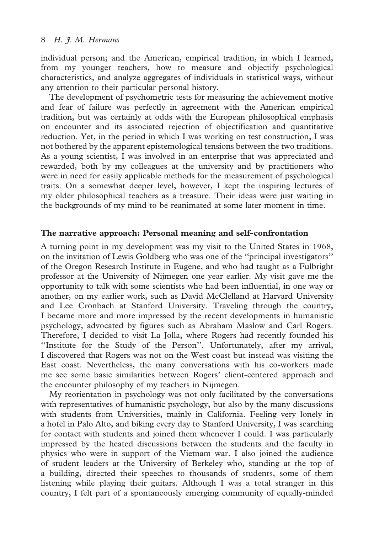individual person; and the American, empirical tradition, in which I learned, from my younger teachers, how to measure and objectify psychological characteristics, and analyze aggregates of individuals in statistical ways, without any attention to their particular personal history.

The development of psychometric tests for measuring the achievement motive and fear of failure was perfectly in agreement with the American empirical tradition, but was certainly at odds with the European philosophical emphasis on encounter and its associated rejection of objectification and quantitative reduction. Yet, in the period in which I was working on test construction, I was not bothered by the apparent epistemological tensions between the two traditions. As a young scientist, I was involved in an enterprise that was appreciated and rewarded, both by my colleagues at the university and by practitioners who were in need for easily applicable methods for the measurement of psychological traits. On a somewhat deeper level, however, I kept the inspiring lectures of my older philosophical teachers as a treasure. Their ideas were just waiting in the backgrounds of my mind to be reanimated at some later moment in time.

# The narrative approach: Personal meaning and self-confrontation

A turning point in my development was my visit to the United States in 1968, on the invitation of Lewis Goldberg who was one of the ''principal investigators'' of the Oregon Research Institute in Eugene, and who had taught as a Fulbright professor at the University of Nijmegen one year earlier. My visit gave me the opportunity to talk with some scientists who had been influential, in one way or another, on my earlier work, such as David McClelland at Harvard University and Lee Cronbach at Stanford University. Traveling through the country, I became more and more impressed by the recent developments in humanistic psychology, advocated by figures such as Abraham Maslow and Carl Rogers. Therefore, I decided to visit La Jolla, where Rogers had recently founded his ''Institute for the Study of the Person''. Unfortunately, after my arrival, I discovered that Rogers was not on the West coast but instead was visiting the East coast. Nevertheless, the many conversations with his co-workers made me see some basic similarities between Rogers' client-centered approach and the encounter philosophy of my teachers in Nijmegen.

My reorientation in psychology was not only facilitated by the conversations with representatives of humanistic psychology, but also by the many discussions with students from Universities, mainly in California. Feeling very lonely in a hotel in Palo Alto, and biking every day to Stanford University, I was searching for contact with students and joined them whenever I could. I was particularly impressed by the heated discussions between the students and the faculty in physics who were in support of the Vietnam war. I also joined the audience of student leaders at the University of Berkeley who, standing at the top of a building, directed their speeches to thousands of students, some of them listening while playing their guitars. Although I was a total stranger in this country, I felt part of a spontaneously emerging community of equally-minded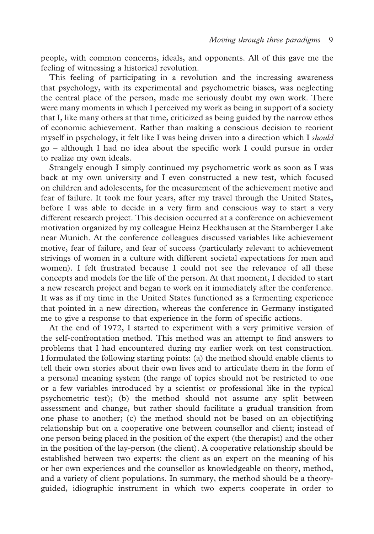people, with common concerns, ideals, and opponents. All of this gave me the feeling of witnessing a historical revolution.

This feeling of participating in a revolution and the increasing awareness that psychology, with its experimental and psychometric biases, was neglecting the central place of the person, made me seriously doubt my own work. There were many moments in which I perceived my work as being in support of a society that I, like many others at that time, criticized as being guided by the narrow ethos of economic achievement. Rather than making a conscious decision to reorient myself in psychology, it felt like I was being driven into a direction which I should go – although I had no idea about the specific work I could pursue in order to realize my own ideals.

Strangely enough I simply continued my psychometric work as soon as I was back at my own university and I even constructed a new test, which focused on children and adolescents, for the measurement of the achievement motive and fear of failure. It took me four years, after my travel through the United States, before I was able to decide in a very firm and conscious way to start a very different research project. This decision occurred at a conference on achievement motivation organized by my colleague Heinz Heckhausen at the Starnberger Lake near Munich. At the conference colleagues discussed variables like achievement motive, fear of failure, and fear of success (particularly relevant to achievement strivings of women in a culture with different societal expectations for men and women). I felt frustrated because I could not see the relevance of all these concepts and models for the life of the person. At that moment, I decided to start a new research project and began to work on it immediately after the conference. It was as if my time in the United States functioned as a fermenting experience that pointed in a new direction, whereas the conference in Germany instigated me to give a response to that experience in the form of specific actions.

At the end of 1972, I started to experiment with a very primitive version of the self-confrontation method. This method was an attempt to find answers to problems that I had encountered during my earlier work on test construction. I formulated the following starting points: (a) the method should enable clients to tell their own stories about their own lives and to articulate them in the form of a personal meaning system (the range of topics should not be restricted to one or a few variables introduced by a scientist or professional like in the typical psychometric test); (b) the method should not assume any split between assessment and change, but rather should facilitate a gradual transition from one phase to another; (c) the method should not be based on an objectifying relationship but on a cooperative one between counsellor and client; instead of one person being placed in the position of the expert (the therapist) and the other in the position of the lay-person (the client). A cooperative relationship should be established between two experts: the client as an expert on the meaning of his or her own experiences and the counsellor as knowledgeable on theory, method, and a variety of client populations. In summary, the method should be a theoryguided, idiographic instrument in which two experts cooperate in order to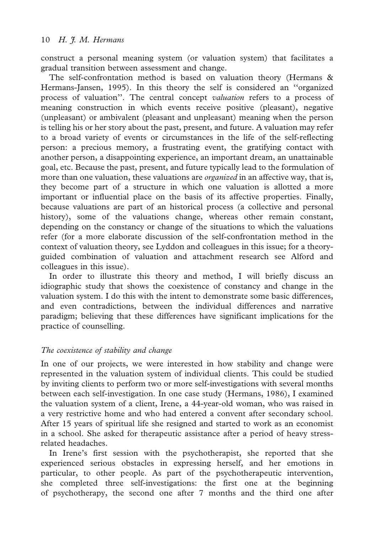construct a personal meaning system (or valuation system) that facilitates a gradual transition between assessment and change.

The self-confrontation method is based on valuation theory (Hermans & Hermans-Jansen, 1995). In this theory the self is considered an ''organized process of valuation''. The central concept valuation refers to a process of meaning construction in which events receive positive (pleasant), negative (unpleasant) or ambivalent (pleasant and unpleasant) meaning when the person is telling his or her story about the past, present, and future. A valuation may refer to a broad variety of events or circumstances in the life of the self-reflecting person: a precious memory, a frustrating event, the gratifying contact with another person, a disappointing experience, an important dream, an unattainable goal, etc. Because the past, present, and future typically lead to the formulation of more than one valuation, these valuations are *organized* in an affective way, that is, they become part of a structure in which one valuation is allotted a more important or influential place on the basis of its affective properties. Finally, because valuations are part of an historical process (a collective and personal history), some of the valuations change, whereas other remain constant, depending on the constancy or change of the situations to which the valuations refer (for a more elaborate discussion of the self-confrontation method in the context of valuation theory, see Lyddon and colleagues in this issue; for a theoryguided combination of valuation and attachment research see Alford and colleagues in this issue).

In order to illustrate this theory and method, I will briefly discuss an idiographic study that shows the coexistence of constancy and change in the valuation system. I do this with the intent to demonstrate some basic differences, and even contradictions, between the individual differences and narrative paradigm; believing that these differences have significant implications for the practice of counselling.

# The coexistence of stability and change

In one of our projects, we were interested in how stability and change were represented in the valuation system of individual clients. This could be studied by inviting clients to perform two or more self-investigations with several months between each self-investigation. In one case study (Hermans, 1986), I examined the valuation system of a client, Irene, a 44-year-old woman, who was raised in a very restrictive home and who had entered a convent after secondary school. After 15 years of spiritual life she resigned and started to work as an economist in a school. She asked for therapeutic assistance after a period of heavy stressrelated headaches.

In Irene's first session with the psychotherapist, she reported that she experienced serious obstacles in expressing herself, and her emotions in particular, to other people. As part of the psychotherapeutic intervention, she completed three self-investigations: the first one at the beginning of psychotherapy, the second one after 7 months and the third one after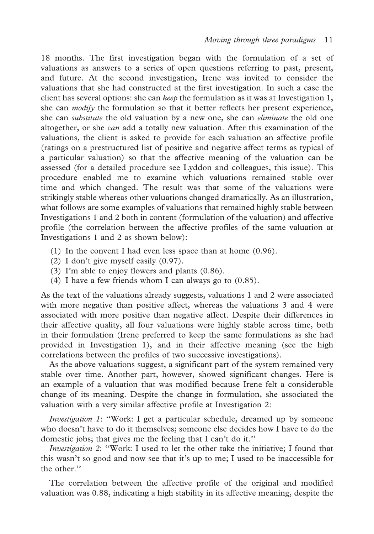18 months. The first investigation began with the formulation of a set of valuations as answers to a series of open questions referring to past, present, and future. At the second investigation, Irene was invited to consider the valuations that she had constructed at the first investigation. In such a case the client has several options: she can *keep* the formulation as it was at Investigation 1, she can *modify* the formulation so that it better reflects her present experience, she can *substitute* the old valuation by a new one, she can *eliminate* the old one altogether, or she can add a totally new valuation. After this examination of the valuations, the client is asked to provide for each valuation an affective profile (ratings on a prestructured list of positive and negative affect terms as typical of a particular valuation) so that the affective meaning of the valuation can be assessed (for a detailed procedure see Lyddon and colleagues, this issue). This procedure enabled me to examine which valuations remained stable over time and which changed. The result was that some of the valuations were strikingly stable whereas other valuations changed dramatically. As an illustration, what follows are some examples of valuations that remained highly stable between Investigations 1 and 2 both in content (formulation of the valuation) and affective profile (the correlation between the affective profiles of the same valuation at Investigations 1 and 2 as shown below):

- (1) In the convent I had even less space than at home (0.96).
- (2) I don't give myself easily (0.97).
- (3) I'm able to enjoy flowers and plants (0.86).
- (4) I have a few friends whom I can always go to (0.85).

As the text of the valuations already suggests, valuations 1 and 2 were associated with more negative than positive affect, whereas the valuations 3 and 4 were associated with more positive than negative affect. Despite their differences in their affective quality, all four valuations were highly stable across time, both in their formulation (Irene preferred to keep the same formulations as she had provided in Investigation 1), and in their affective meaning (see the high correlations between the profiles of two successive investigations).

As the above valuations suggest, a significant part of the system remained very stable over time. Another part, however, showed significant changes. Here is an example of a valuation that was modified because Irene felt a considerable change of its meaning. Despite the change in formulation, she associated the valuation with a very similar affective profile at Investigation 2:

Investigation 1: ''Work: I get a particular schedule, dreamed up by someone who doesn't have to do it themselves; someone else decides how I have to do the domestic jobs; that gives me the feeling that I can't do it.''

Investigation 2: ''Work: I used to let the other take the initiative; I found that this wasn't so good and now see that it's up to me; I used to be inaccessible for the other.''

The correlation between the affective profile of the original and modified valuation was 0.88, indicating a high stability in its affective meaning, despite the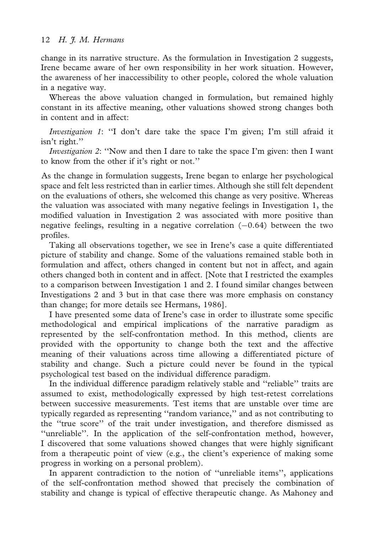change in its narrative structure. As the formulation in Investigation 2 suggests, Irene became aware of her own responsibility in her work situation. However, the awareness of her inaccessibility to other people, colored the whole valuation in a negative way.

Whereas the above valuation changed in formulation, but remained highly constant in its affective meaning, other valuations showed strong changes both in content and in affect:

Investigation 1: ''I don't dare take the space I'm given; I'm still afraid it isn't right.''

Investigation 2: ''Now and then I dare to take the space I'm given: then I want to know from the other if it's right or not.''

As the change in formulation suggests, Irene began to enlarge her psychological space and felt less restricted than in earlier times. Although she still felt dependent on the evaluations of others, she welcomed this change as very positive. Whereas the valuation was associated with many negative feelings in Investigation 1, the modified valuation in Investigation 2 was associated with more positive than negative feelings, resulting in a negative correlation  $(-0.64)$  between the two profiles.

Taking all observations together, we see in Irene's case a quite differentiated picture of stability and change. Some of the valuations remained stable both in formulation and affect, others changed in content but not in affect, and again others changed both in content and in affect. [Note that I restricted the examples to a comparison between Investigation 1 and 2. I found similar changes between Investigations 2 and 3 but in that case there was more emphasis on constancy than change; for more details see Hermans, 1986].

I have presented some data of Irene's case in order to illustrate some specific methodological and empirical implications of the narrative paradigm as represented by the self-confrontation method. In this method, clients are provided with the opportunity to change both the text and the affective meaning of their valuations across time allowing a differentiated picture of stability and change. Such a picture could never be found in the typical psychological test based on the individual difference paradigm.

In the individual difference paradigm relatively stable and ''reliable'' traits are assumed to exist, methodologically expressed by high test-retest correlations between successive measurements. Test items that are unstable over time are typically regarded as representing ''random variance,'' and as not contributing to the ''true score'' of the trait under investigation, and therefore dismissed as ''unreliable''. In the application of the self-confrontation method, however, I discovered that some valuations showed changes that were highly significant from a therapeutic point of view (e.g., the client's experience of making some progress in working on a personal problem).

In apparent contradiction to the notion of ''unreliable items'', applications of the self-confrontation method showed that precisely the combination of stability and change is typical of effective therapeutic change. As Mahoney and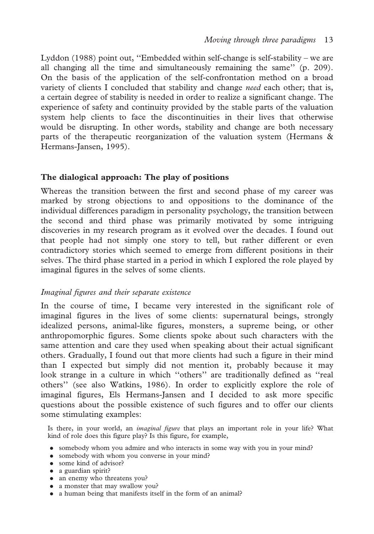Lyddon (1988) point out, ''Embedded within self-change is self-stability – we are all changing all the time and simultaneously remaining the same'' (p. 209). On the basis of the application of the self-confrontation method on a broad variety of clients I concluded that stability and change need each other; that is, a certain degree of stability is needed in order to realize a significant change. The experience of safety and continuity provided by the stable parts of the valuation system help clients to face the discontinuities in their lives that otherwise would be disrupting. In other words, stability and change are both necessary parts of the therapeutic reorganization of the valuation system (Hermans & Hermans-Jansen, 1995).

# The dialogical approach: The play of positions

Whereas the transition between the first and second phase of my career was marked by strong objections to and oppositions to the dominance of the individual differences paradigm in personality psychology, the transition between the second and third phase was primarily motivated by some intriguing discoveries in my research program as it evolved over the decades. I found out that people had not simply one story to tell, but rather different or even contradictory stories which seemed to emerge from different positions in their selves. The third phase started in a period in which I explored the role played by imaginal figures in the selves of some clients.

#### Imaginal figures and their separate existence

In the course of time, I became very interested in the significant role of imaginal figures in the lives of some clients: supernatural beings, strongly idealized persons, animal-like figures, monsters, a supreme being, or other anthropomorphic figures. Some clients spoke about such characters with the same attention and care they used when speaking about their actual significant others. Gradually, I found out that more clients had such a figure in their mind than I expected but simply did not mention it, probably because it may look strange in a culture in which ''others'' are traditionally defined as ''real others'' (see also Watkins, 1986). In order to explicitly explore the role of imaginal figures, Els Hermans-Jansen and I decided to ask more specific questions about the possible existence of such figures and to offer our clients some stimulating examples:

Is there, in your world, an *imaginal figure* that plays an important role in your life? What kind of role does this figure play? Is this figure, for example,

- . somebody whom you admire and who interacts in some way with you in your mind?
- . somebody with whom you converse in your mind?
- . some kind of advisor?
- . a guardian spirit?
- an enemy who threatens you?
- . a monster that may swallow you?
- . a human being that manifests itself in the form of an animal?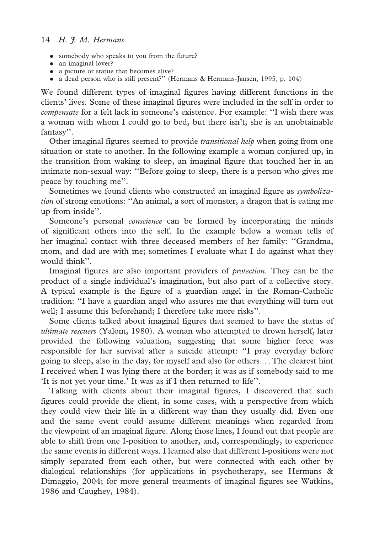- . somebody who speaks to you from the future?
- an imaginal lover?
- . a picture or statue that becomes alive?
- . a dead person who is still present?'' (Hermans & Hermans-Jansen, 1995, p. 104)

We found different types of imaginal figures having different functions in the clients' lives. Some of these imaginal figures were included in the self in order to compensate for a felt lack in someone's existence. For example: ''I wish there was a woman with whom I could go to bed, but there isn't; she is an unobtainable fantasy''.

Other imaginal figures seemed to provide transitional help when going from one situation or state to another. In the following example a woman conjured up, in the transition from waking to sleep, an imaginal figure that touched her in an intimate non-sexual way: ''Before going to sleep, there is a person who gives me peace by touching me''.

Sometimes we found clients who constructed an imaginal figure as symbolization of strong emotions: ''An animal, a sort of monster, a dragon that is eating me up from inside''.

Someone's personal conscience can be formed by incorporating the minds of significant others into the self. In the example below a woman tells of her imaginal contact with three deceased members of her family: ''Grandma, mom, and dad are with me; sometimes I evaluate what I do against what they would think''.

Imaginal figures are also important providers of protection. They can be the product of a single individual's imagination, but also part of a collective story. A typical example is the figure of a guardian angel in the Roman-Catholic tradition: ''I have a guardian angel who assures me that everything will turn out well; I assume this beforehand; I therefore take more risks''.

Some clients talked about imaginal figures that seemed to have the status of ultimate rescuers (Yalom, 1980). A woman who attempted to drown herself, later provided the following valuation, suggesting that some higher force was responsible for her survival after a suicide attempt: ''I pray everyday before going to sleep, also in the day, for myself and also for others... The clearest hint I received when I was lying there at the border; it was as if somebody said to me 'It is not yet your time.' It was as if I then returned to life''.

Talking with clients about their imaginal figures, I discovered that such figures could provide the client, in some cases, with a perspective from which they could view their life in a different way than they usually did. Even one and the same event could assume different meanings when regarded from the viewpoint of an imaginal figure. Along those lines, I found out that people are able to shift from one I-position to another, and, correspondingly, to experience the same events in different ways. I learned also that different I-positions were not simply separated from each other, but were connected with each other by dialogical relationships (for applications in psychotherapy, see Hermans & Dimaggio, 2004; for more general treatments of imaginal figures see Watkins, 1986 and Caughey, 1984).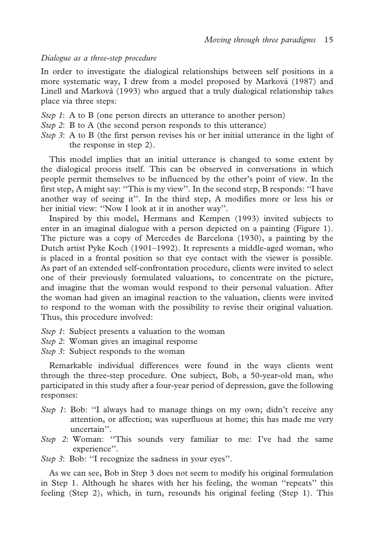#### Dialogue as a three-step procedure

In order to investigate the dialogical relationships between self positions in a more systematic way, I drew from a model proposed by Markova´ (1987) and Linell and Markova´ (1993) who argued that a truly dialogical relationship takes place via three steps:

- Step 1: A to B (one person directs an utterance to another person)
- Step 2: B to A (the second person responds to this utterance)
- Step 3: A to B (the first person revises his or her initial utterance in the light of the response in step 2).

This model implies that an initial utterance is changed to some extent by the dialogical process itself. This can be observed in conversations in which people permit themselves to be influenced by the other's point of view. In the first step, A might say: ''This is my view''. In the second step, B responds: ''I have another way of seeing it''. In the third step, A modifies more or less his or her initial view: ''Now I look at it in another way''.

Inspired by this model, Hermans and Kempen (1993) invited subjects to enter in an imaginal dialogue with a person depicted on a painting (Figure 1). The picture was a copy of Mercedes de Barcelona (1930), a painting by the Dutch artist Pyke Koch (1901–1992). It represents a middle-aged woman, who is placed in a frontal position so that eye contact with the viewer is possible. As part of an extended self-confrontation procedure, clients were invited to select one of their previously formulated valuations, to concentrate on the picture, and imagine that the woman would respond to their personal valuation. After the woman had given an imaginal reaction to the valuation, clients were invited to respond to the woman with the possibility to revise their original valuation. Thus, this procedure involved:

- Step 1: Subject presents a valuation to the woman
- Step 2: Woman gives an imaginal response
- Step 3: Subject responds to the woman

Remarkable individual differences were found in the ways clients went through the three-step procedure. One subject, Bob, a 50-year-old man, who participated in this study after a four-year period of depression, gave the following responses:

- Step 1: Bob: "I always had to manage things on my own; didn't receive any attention, or affection; was superfluous at home; this has made me very uncertain''.
- Step 2: Woman: "This sounds very familiar to me: I've had the same experience''.
- Step 3: Bob: "I recognize the sadness in your eyes".

As we can see, Bob in Step 3 does not seem to modify his original formulation in Step 1. Although he shares with her his feeling, the woman ''repeats'' this feeling (Step 2), which, in turn, resounds his original feeling (Step 1). This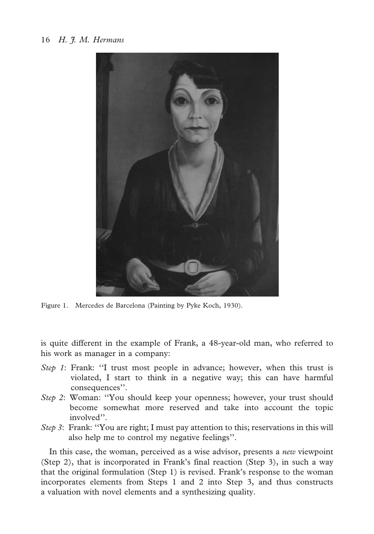

Figure 1. Mercedes de Barcelona (Painting by Pyke Koch, 1930).

is quite different in the example of Frank, a 48-year-old man, who referred to his work as manager in a company:

- Step 1: Frank: "I trust most people in advance; however, when this trust is violated, I start to think in a negative way; this can have harmful consequences''.
- Step 2: Woman: "You should keep your openness; however, your trust should become somewhat more reserved and take into account the topic involved''.
- Step 3: Frank: "You are right; I must pay attention to this; reservations in this will also help me to control my negative feelings''.

In this case, the woman, perceived as a wise advisor, presents a new viewpoint (Step 2), that is incorporated in Frank's final reaction (Step 3), in such a way that the original formulation (Step 1) is revised. Frank's response to the woman incorporates elements from Steps 1 and 2 into Step 3, and thus constructs a valuation with novel elements and a synthesizing quality.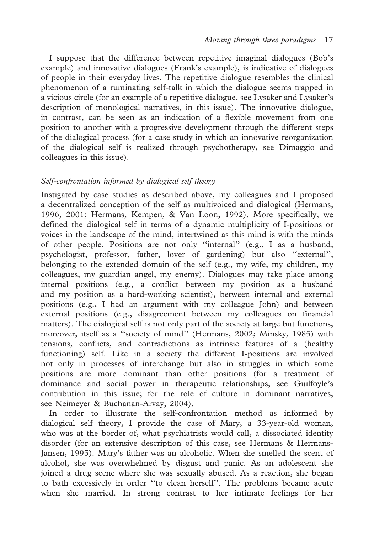I suppose that the difference between repetitive imaginal dialogues (Bob's example) and innovative dialogues (Frank's example), is indicative of dialogues of people in their everyday lives. The repetitive dialogue resembles the clinical phenomenon of a ruminating self-talk in which the dialogue seems trapped in a vicious circle (for an example of a repetitive dialogue, see Lysaker and Lysaker's description of monological narratives, in this issue). The innovative dialogue, in contrast, can be seen as an indication of a flexible movement from one position to another with a progressive development through the different steps of the dialogical process (for a case study in which an innovative reorganization of the dialogical self is realized through psychotherapy, see Dimaggio and colleagues in this issue).

# Self-confrontation informed by dialogical self theory

Instigated by case studies as described above, my colleagues and I proposed a decentralized conception of the self as multivoiced and dialogical (Hermans, 1996, 2001; Hermans, Kempen, & Van Loon, 1992). More specifically, we defined the dialogical self in terms of a dynamic multiplicity of I-positions or voices in the landscape of the mind, intertwined as this mind is with the minds of other people. Positions are not only ''internal'' (e.g., I as a husband, psychologist, professor, father, lover of gardening) but also ''external'', belonging to the extended domain of the self (e.g., my wife, my children, my colleagues, my guardian angel, my enemy). Dialogues may take place among internal positions (e.g., a conflict between my position as a husband and my position as a hard-working scientist), between internal and external positions (e.g., I had an argument with my colleague John) and between external positions (e.g., disagreement between my colleagues on financial matters). The dialogical self is not only part of the society at large but functions, moreover, itself as a ''society of mind'' (Hermans, 2002; Minsky, 1985) with tensions, conflicts, and contradictions as intrinsic features of a (healthy functioning) self. Like in a society the different I-positions are involved not only in processes of interchange but also in struggles in which some positions are more dominant than other positions (for a treatment of dominance and social power in therapeutic relationships, see Guilfoyle's contribution in this issue; for the role of culture in dominant narratives, see Neimeyer & Buchanan-Arvay, 2004).

In order to illustrate the self-confrontation method as informed by dialogical self theory, I provide the case of Mary, a 33-year-old woman, who was at the border of, what psychiatrists would call, a dissociated identity disorder (for an extensive description of this case, see Hermans & Hermans-Jansen, 1995). Mary's father was an alcoholic. When she smelled the scent of alcohol, she was overwhelmed by disgust and panic. As an adolescent she joined a drug scene where she was sexually abused. As a reaction, she began to bath excessively in order ''to clean herself''. The problems became acute when she married. In strong contrast to her intimate feelings for her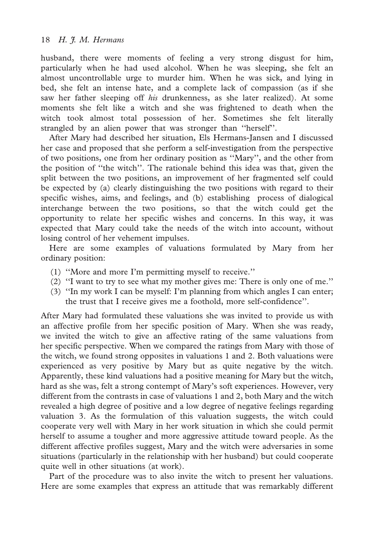husband, there were moments of feeling a very strong disgust for him, particularly when he had used alcohol. When he was sleeping, she felt an almost uncontrollable urge to murder him. When he was sick, and lying in bed, she felt an intense hate, and a complete lack of compassion (as if she saw her father sleeping off his drunkenness, as she later realized). At some moments she felt like a witch and she was frightened to death when the witch took almost total possession of her. Sometimes she felt literally strangled by an alien power that was stronger than ''herself''.

After Mary had described her situation, Els Hermans-Jansen and I discussed her case and proposed that she perform a self-investigation from the perspective of two positions, one from her ordinary position as ''Mary'', and the other from the position of ''the witch''. The rationale behind this idea was that, given the split between the two positions, an improvement of her fragmented self could be expected by (a) clearly distinguishing the two positions with regard to their specific wishes, aims, and feelings, and (b) establishing process of dialogical interchange between the two positions, so that the witch could get the opportunity to relate her specific wishes and concerns. In this way, it was expected that Mary could take the needs of the witch into account, without losing control of her vehement impulses.

Here are some examples of valuations formulated by Mary from her ordinary position:

- (1) ''More and more I'm permitting myself to receive.''
- (2) ''I want to try to see what my mother gives me: There is only one of me.''
- (3) ''In my work I can be myself: I'm planning from which angles I can enter; the trust that I receive gives me a foothold, more self-confidence''.

After Mary had formulated these valuations she was invited to provide us with an affective profile from her specific position of Mary. When she was ready, we invited the witch to give an affective rating of the same valuations from her specific perspective. When we compared the ratings from Mary with those of the witch, we found strong opposites in valuations 1 and 2. Both valuations were experienced as very positive by Mary but as quite negative by the witch. Apparently, these kind valuations had a positive meaning for Mary but the witch, hard as she was, felt a strong contempt of Mary's soft experiences. However, very different from the contrasts in case of valuations 1 and 2, both Mary and the witch revealed a high degree of positive and a low degree of negative feelings regarding valuation 3. As the formulation of this valuation suggests, the witch could cooperate very well with Mary in her work situation in which she could permit herself to assume a tougher and more aggressive attitude toward people. As the different affective profiles suggest, Mary and the witch were adversaries in some situations (particularly in the relationship with her husband) but could cooperate quite well in other situations (at work).

Part of the procedure was to also invite the witch to present her valuations. Here are some examples that express an attitude that was remarkably different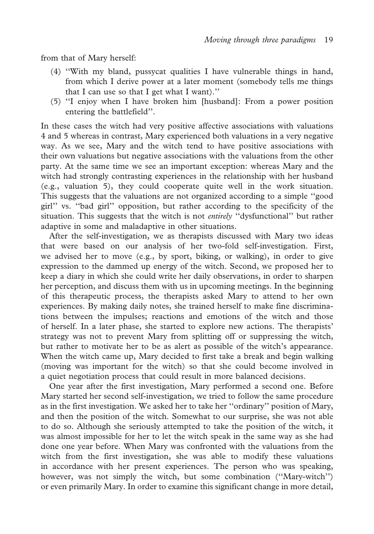from that of Mary herself:

- (4) ''With my bland, pussycat qualities I have vulnerable things in hand, from which I derive power at a later moment (somebody tells me things that I can use so that I get what I want).''
- (5) ''I enjoy when I have broken him [husband]: From a power position entering the battlefield''.

In these cases the witch had very positive affective associations with valuations 4 and 5 whereas in contrast, Mary experienced both valuations in a very negative way. As we see, Mary and the witch tend to have positive associations with their own valuations but negative associations with the valuations from the other party. At the same time we see an important exception: whereas Mary and the witch had strongly contrasting experiences in the relationship with her husband (e.g., valuation 5), they could cooperate quite well in the work situation. This suggests that the valuations are not organized according to a simple ''good girl'' vs. ''bad girl'' opposition, but rather according to the specificity of the situation. This suggests that the witch is not *entirely* "dysfunctional" but rather adaptive in some and maladaptive in other situations.

After the self-investigation, we as therapists discussed with Mary two ideas that were based on our analysis of her two-fold self-investigation. First, we advised her to move (e.g., by sport, biking, or walking), in order to give expression to the dammed up energy of the witch. Second, we proposed her to keep a diary in which she could write her daily observations, in order to sharpen her perception, and discuss them with us in upcoming meetings. In the beginning of this therapeutic process, the therapists asked Mary to attend to her own experiences. By making daily notes, she trained herself to make fine discriminations between the impulses; reactions and emotions of the witch and those of herself. In a later phase, she started to explore new actions. The therapists' strategy was not to prevent Mary from splitting off or suppressing the witch, but rather to motivate her to be as alert as possible of the witch's appearance. When the witch came up, Mary decided to first take a break and begin walking (moving was important for the witch) so that she could become involved in a quiet negotiation process that could result in more balanced decisions.

One year after the first investigation, Mary performed a second one. Before Mary started her second self-investigation, we tried to follow the same procedure as in the first investigation. We asked her to take her ''ordinary'' position of Mary, and then the position of the witch. Somewhat to our surprise, she was not able to do so. Although she seriously attempted to take the position of the witch, it was almost impossible for her to let the witch speak in the same way as she had done one year before. When Mary was confronted with the valuations from the witch from the first investigation, she was able to modify these valuations in accordance with her present experiences. The person who was speaking, however, was not simply the witch, but some combination (''Mary-witch'') or even primarily Mary. In order to examine this significant change in more detail,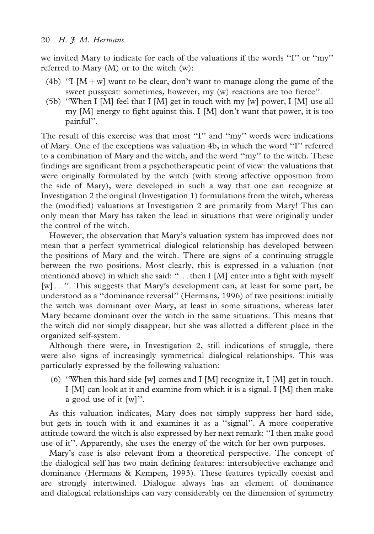we invited Mary to indicate for each of the valuations if the words "I" or "my" referred to Mary (M) or to the witch (w):

- (4b) "I  $[M+w]$  want to be clear, don't want to manage along the game of the sweet pussycat: sometimes, however, my (w) reactions are too fierce''.
- (5b) ''When I [M] feel that I [M] get in touch with my [w] power, I [M] use all my [M] energy to fight against this. I [M] don't want that power, it is too painful''.

The result of this exercise was that most "I" and "my" words were indications of Mary. One of the exceptions was valuation 4b, in which the word ''I'' referred to a combination of Mary and the witch, and the word ''my'' to the witch. These findings are significant from a psychotherapeutic point of view: the valuations that were originally formulated by the witch (with strong affective opposition from the side of Mary), were developed in such a way that one can recognize at Investigation 2 the original (Investigation 1) formulations from the witch, whereas the (modified) valuations at Investigation 2 are primarily from Mary! This can only mean that Mary has taken the lead in situations that were originally under the control of the witch.

However, the observation that Mary's valuation system has improved does not mean that a perfect symmetrical dialogical relationship has developed between the positions of Mary and the witch. There are signs of a continuing struggle between the two positions. Most clearly, this is expressed in a valuation (not mentioned above) in which she said: ''...then I [M] enter into a fight with myself [w]...''. This suggests that Mary's development can, at least for some part, be understood as a ''dominance reversal'' (Hermans, 1996) of two positions: initially the witch was dominant over Mary, at least in some situations, whereas later Mary became dominant over the witch in the same situations. This means that the witch did not simply disappear, but she was allotted a different place in the organized self-system.

Although there were, in Investigation 2, still indications of struggle, there were also signs of increasingly symmetrical dialogical relationships. This was particularly expressed by the following valuation:

(6) ''When this hard side [w] comes and I [M] recognize it, I [M] get in touch. I [M] can look at it and examine from which it is a signal. I [M] then make a good use of it [w]''.

As this valuation indicates, Mary does not simply suppress her hard side, but gets in touch with it and examines it as a ''signal''. A more cooperative attitude toward the witch is also expressed by her next remark: ''I then make good use of it''. Apparently, she uses the energy of the witch for her own purposes.

Mary's case is also relevant from a theoretical perspective. The concept of the dialogical self has two main defining features: intersubjective exchange and dominance (Hermans & Kempen, 1993). These features typically coexist and are strongly intertwined. Dialogue always has an element of dominance and dialogical relationships can vary considerably on the dimension of symmetry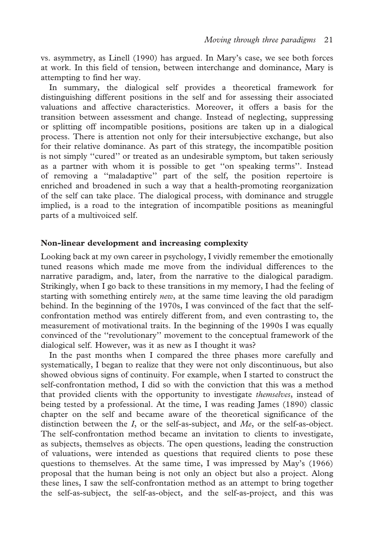vs. asymmetry, as Linell (1990) has argued. In Mary's case, we see both forces at work. In this field of tension, between interchange and dominance, Mary is attempting to find her way.

In summary, the dialogical self provides a theoretical framework for distinguishing different positions in the self and for assessing their associated valuations and affective characteristics. Moreover, it offers a basis for the transition between assessment and change. Instead of neglecting, suppressing or splitting off incompatible positions, positions are taken up in a dialogical process. There is attention not only for their intersubjective exchange, but also for their relative dominance. As part of this strategy, the incompatible position is not simply ''cured'' or treated as an undesirable symptom, but taken seriously as a partner with whom it is possible to get ''on speaking terms''. Instead of removing a ''maladaptive'' part of the self, the position repertoire is enriched and broadened in such a way that a health-promoting reorganization of the self can take place. The dialogical process, with dominance and struggle implied, is a road to the integration of incompatible positions as meaningful parts of a multivoiced self.

#### Non-linear development and increasing complexity

Looking back at my own career in psychology, I vividly remember the emotionally tuned reasons which made me move from the individual differences to the narrative paradigm, and, later, from the narrative to the dialogical paradigm. Strikingly, when I go back to these transitions in my memory, I had the feeling of starting with something entirely *new*, at the same time leaving the old paradigm behind. In the beginning of the 1970s, I was convinced of the fact that the selfconfrontation method was entirely different from, and even contrasting to, the measurement of motivational traits. In the beginning of the 1990s I was equally convinced of the ''revolutionary'' movement to the conceptual framework of the dialogical self. However, was it as new as I thought it was?

In the past months when I compared the three phases more carefully and systematically, I began to realize that they were not only discontinuous, but also showed obvious signs of continuity. For example, when I started to construct the self-confrontation method, I did so with the conviction that this was a method that provided clients with the opportunity to investigate themselves, instead of being tested by a professional. At the time, I was reading James (1890) classic chapter on the self and became aware of the theoretical significance of the distinction between the  $I$ , or the self-as-subject, and  $Me$ , or the self-as-object. The self-confrontation method became an invitation to clients to investigate, as subjects, themselves as objects. The open questions, leading the construction of valuations, were intended as questions that required clients to pose these questions to themselves. At the same time, I was impressed by May's (1966) proposal that the human being is not only an object but also a project. Along these lines, I saw the self-confrontation method as an attempt to bring together the self-as-subject, the self-as-object, and the self-as-project, and this was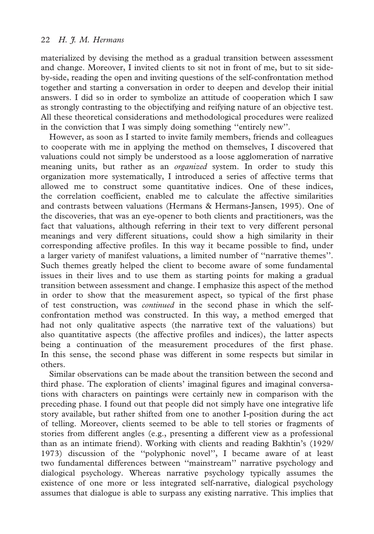materialized by devising the method as a gradual transition between assessment and change. Moreover, I invited clients to sit not in front of me, but to sit sideby-side, reading the open and inviting questions of the self-confrontation method together and starting a conversation in order to deepen and develop their initial answers. I did so in order to symbolize an attitude of cooperation which I saw as strongly contrasting to the objectifying and reifying nature of an objective test. All these theoretical considerations and methodological procedures were realized in the conviction that I was simply doing something ''entirely new''.

However, as soon as I started to invite family members, friends and colleagues to cooperate with me in applying the method on themselves, I discovered that valuations could not simply be understood as a loose agglomeration of narrative meaning units, but rather as an *organized* system. In order to study this organization more systematically, I introduced a series of affective terms that allowed me to construct some quantitative indices. One of these indices, the correlation coefficient, enabled me to calculate the affective similarities and contrasts between valuations (Hermans & Hermans-Jansen, 1995). One of the discoveries, that was an eye-opener to both clients and practitioners, was the fact that valuations, although referring in their text to very different personal meanings and very different situations, could show a high similarity in their corresponding affective profiles. In this way it became possible to find, under a larger variety of manifest valuations, a limited number of ''narrative themes''. Such themes greatly helped the client to become aware of some fundamental issues in their lives and to use them as starting points for making a gradual transition between assessment and change. I emphasize this aspect of the method in order to show that the measurement aspect, so typical of the first phase of test construction, was continued in the second phase in which the selfconfrontation method was constructed. In this way, a method emerged that had not only qualitative aspects (the narrative text of the valuations) but also quantitative aspects (the affective profiles and indices), the latter aspects being a continuation of the measurement procedures of the first phase. In this sense, the second phase was different in some respects but similar in others.

Similar observations can be made about the transition between the second and third phase. The exploration of clients' imaginal figures and imaginal conversations with characters on paintings were certainly new in comparison with the preceding phase. I found out that people did not simply have one integrative life story available, but rather shifted from one to another I-position during the act of telling. Moreover, clients seemed to be able to tell stories or fragments of stories from different angles (e.g., presenting a different view as a professional than as an intimate friend). Working with clients and reading Bakhtin's (1929/ 1973) discussion of the ''polyphonic novel'', I became aware of at least two fundamental differences between ''mainstream'' narrative psychology and dialogical psychology. Whereas narrative psychology typically assumes the existence of one more or less integrated self-narrative, dialogical psychology assumes that dialogue is able to surpass any existing narrative. This implies that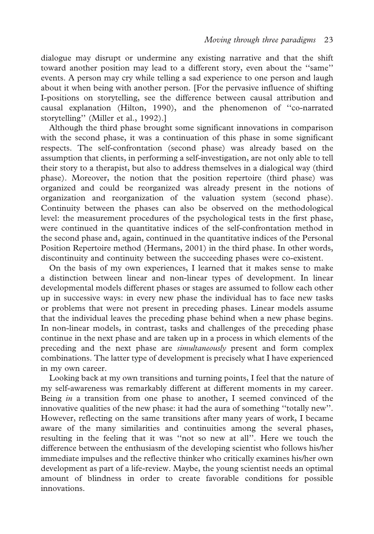dialogue may disrupt or undermine any existing narrative and that the shift toward another position may lead to a different story, even about the ''same'' events. A person may cry while telling a sad experience to one person and laugh about it when being with another person. [For the pervasive influence of shifting I-positions on storytelling, see the difference between causal attribution and causal explanation (Hilton, 1990), and the phenomenon of ''co-narrated storytelling'' (Miller et al., 1992).]

Although the third phase brought some significant innovations in comparison with the second phase, it was a continuation of this phase in some significant respects. The self-confrontation (second phase) was already based on the assumption that clients, in performing a self-investigation, are not only able to tell their story to a therapist, but also to address themselves in a dialogical way (third phase). Moreover, the notion that the position repertoire (third phase) was organized and could be reorganized was already present in the notions of organization and reorganization of the valuation system (second phase). Continuity between the phases can also be observed on the methodological level: the measurement procedures of the psychological tests in the first phase, were continued in the quantitative indices of the self-confrontation method in the second phase and, again, continued in the quantitative indices of the Personal Position Repertoire method (Hermans, 2001) in the third phase. In other words, discontinuity and continuity between the succeeding phases were co-existent.

On the basis of my own experiences, I learned that it makes sense to make a distinction between linear and non-linear types of development. In linear developmental models different phases or stages are assumed to follow each other up in successive ways: in every new phase the individual has to face new tasks or problems that were not present in preceding phases. Linear models assume that the individual leaves the preceding phase behind when a new phase begins. In non-linear models, in contrast, tasks and challenges of the preceding phase continue in the next phase and are taken up in a process in which elements of the preceding and the next phase are simultaneously present and form complex combinations. The latter type of development is precisely what I have experienced in my own career.

Looking back at my own transitions and turning points, I feel that the nature of my self-awareness was remarkably different at different moments in my career. Being in a transition from one phase to another, I seemed convinced of the innovative qualities of the new phase: it had the aura of something ''totally new''. However, reflecting on the same transitions after many years of work, I became aware of the many similarities and continuities among the several phases, resulting in the feeling that it was ''not so new at all''. Here we touch the difference between the enthusiasm of the developing scientist who follows his/her immediate impulses and the reflective thinker who critically examines his/her own development as part of a life-review. Maybe, the young scientist needs an optimal amount of blindness in order to create favorable conditions for possible innovations.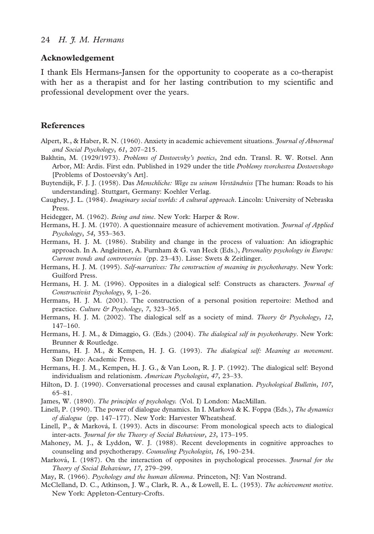#### Acknowledgement

I thank Els Hermans-Jansen for the opportunity to cooperate as a co-therapist with her as a therapist and for her lasting contribution to my scientific and professional development over the years.

#### References

- Alpert, R., & Haber, R. N. (1960). Anxiety in academic achievement situations. Journal of Abnormal and Social Psychology, 61, 207–215.
- Bakhtin, M. (1929/1973). Problems of Dostoevsky's poetics, 2nd edn. Transl. R. W. Rotsel. Ann Arbor, MI: Ardis. First edn. Published in 1929 under the title *Problemy tvorchestva Dostoevskogo* [Problems of Dostoevsky's Art].
- Buytendijk, F. J. J. (1958). Das Menschliche: Wege zu seinem Verständniss [The human: Roads to his understanding]. Stuttgart, Germany: Koehler Verlag.
- Caughey, J. L. (1984). Imaginary social worlds: A cultural approach. Lincoln: University of Nebraska Press.
- Heidegger, M. (1962). Being and time. New York: Harper & Row.
- Hermans, H. J. M. (1970). A questionnaire measure of achievement motivation. *Journal of Applied* Psychology, 54, 353–363.
- Hermans, H. J. M. (1986). Stability and change in the process of valuation: An idiographic approach. In A. Angleitner, A. Furnham & G. van Heck (Eds.), *Personality psychology in Europe:* Current trends and controversies (pp. 23–43). Lisse: Swets & Zeitlinger.
- Hermans, H. J. M. (1995). Self-narratives: The construction of meaning in psychotherapy. New York: Guilford Press.
- Hermans, H. J. M. (1996). Opposites in a dialogical self: Constructs as characters. *Journal of* Constructivist Psychology, 9, 1–26.
- Hermans, H. J. M. (2001). The construction of a personal position repertoire: Method and practice. Culture & Psychology, 7, 323-365.
- Hermans, H. J. M. (2002). The dialogical self as a society of mind. Theory & Psychology, 12, 147–160.
- Hermans, H. J. M., & Dimaggio, G. (Eds.) (2004). The dialogical self in psychotherapy. New York: Brunner & Routledge.
- Hermans, H. J. M., & Kempen, H. J. G. (1993). The dialogical self: Meaning as movement. San Diego: Academic Press.
- Hermans, H. J. M., Kempen, H. J. G., & Van Loon, R. J. P. (1992). The dialogical self: Beyond individualism and relationism. American Psychologist, 47, 23–33.
- Hilton, D. J. (1990). Conversational processes and causal explanation. Psychological Bulletin, 107, 65–81.
- James, W. (1890). The principles of psychology. (Vol. I) London: MacMillan.
- Linell, P. (1990). The power of dialogue dynamics. In I. Markova & K. Foppa (Eds.), The dynamics of dialogue (pp. 147–177). New York: Harvester Wheatsheaf.
- Linell, P., & Marková, I. (1993). Acts in discourse: From monological speech acts to dialogical inter-acts. Journal for the Theory of Social Behaviour, 23, 173–195.
- Mahoney, M. J., & Lyddon, W. J. (1988). Recent developments in cognitive approaches to counseling and psychotherapy. Counseling Psychologist, 16, 190–234.
- Marková, I. (1987). On the interaction of opposites in psychological processes. *Journal for the* Theory of Social Behaviour, 17, 279–299.
- May, R. (1966). *Psychology and the human dilemma*. Princeton, NJ: Van Nostrand.
- McClelland, D. C., Atkinson, J. W., Clark, R. A., & Lowell, E. L. (1953). The achievement motive. New York: Appleton-Century-Crofts.